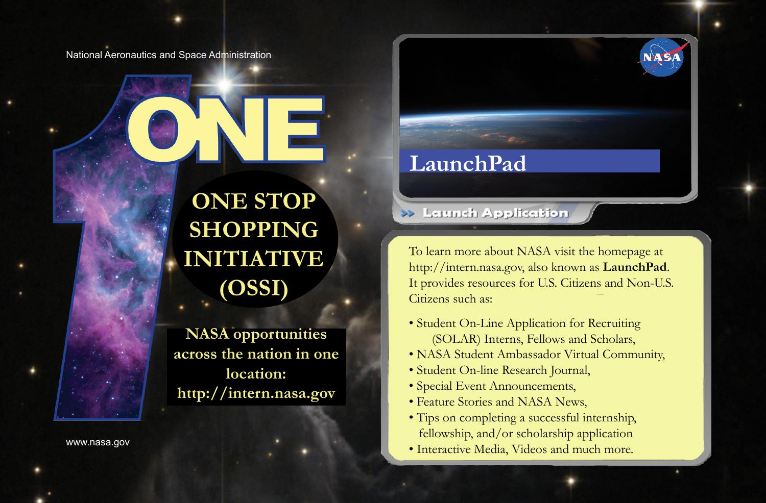National Aeronautics and Space Administration

**ONE STOP SHOPPING INITIATIVE (OSSI)**

**NASA opportunities across the nation in one location: http://intern.nasa.gov**

www.nasa.gov

## **LaunchPad**

>> Lerench Application

To learn more about NASA visit the homepage at http://intern.nasa.gov, also known as **LaunchPad**. It provides resources for U.S. Citizens and Non-U.S. Citizens such as:

- Student On-Line Application for Recruiting (SOLAR) Interns, Fellows and Scholars,
- NASA Student Ambassador Virtual Community,
- Student On-line Research Journal,
- Special Event Announcements,
- Feature Stories and NASA News,
- Tips on completing a successful internship, fellowship, and/or scholarship application
- Interactive Media, Videos and much more.